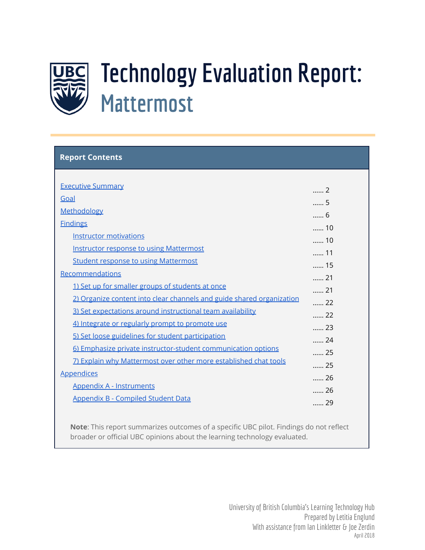

# **Technology Evaluation Report: Mattermost**

| <b>Report Contents</b>                                                |             |
|-----------------------------------------------------------------------|-------------|
|                                                                       |             |
| <b>Executive Summary</b>                                              | $\ldots$ 2  |
| Goal                                                                  | 5           |
| Methodology                                                           | 6           |
| <b>Findings</b>                                                       | 10          |
| <b>Instructor motivations</b>                                         | 10          |
| <b>Instructor response to using Mattermost</b>                        | 11          |
| <b>Student response to using Mattermost</b>                           | 15          |
| Recommendations                                                       | 21          |
| 1) Set up for smaller groups of students at once                      | 21          |
| 2) Organize content into clear channels and guide shared organization | 22          |
| 3) Set expectations around instructional team availability            | 22          |
| 4) Integrate or regularly prompt to promote use                       | 23          |
| 5) Set loose guidelines for student participation                     | $\ldots$ 24 |
| 6) Emphasize private instructor-student communication options         | $\ldots$ 25 |
| 7) Explain why Mattermost over other more established chat tools      | 25          |
| <b>Appendices</b>                                                     | 26          |
| <b>Appendix A - Instruments</b>                                       | 26          |
| <b>Appendix B - Compiled Student Data</b>                             | $\ldots$ 29 |
|                                                                       |             |

<span id="page-0-0"></span>**Note**: This report summarizes outcomes of a specific UBC pilot. Findings do not reflect broader or official UBC opinions about the learning technology evaluated.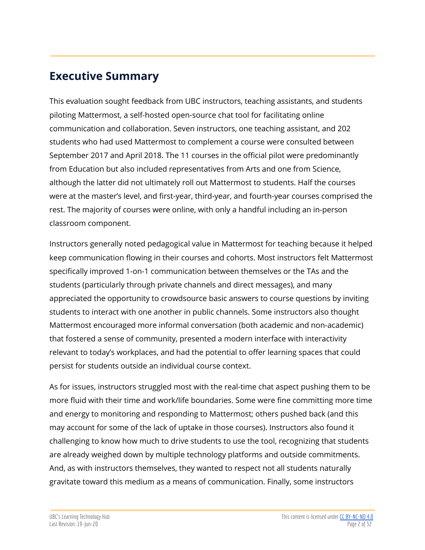# **Executive Summary**

This evaluation sought feedback from UBC instructors, teaching assistants, and students piloting Mattermost, a self-hosted open-source chat tool for facilitating online communication and collaboration. Seven instructors, one teaching assistant, and 202 students who had used Mattermost to complement a course were consulted between September 2017 and April 2018. The 11 courses in the official pilot were predominantly from Education but also included representatives from Arts and one from Science, although the latter did not ultimately roll out Mattermost to students. Half the courses were at the master's level, and first-year, third-year, and fourth-year courses comprised the rest. The majority of courses were online, with only a handful including an in-person classroom component.

Instructors generally noted pedagogical value in Mattermost for teaching because it helped keep communication flowing in their courses and cohorts. Most instructors felt Mattermost specifically improved 1-on-1 communication between themselves or the TAs and the students (particularly through private channels and direct messages), and many appreciated the opportunity to crowdsource basic answers to course questions by inviting students to interact with one another in public channels. Some instructors also thought Mattermost encouraged more informal conversation (both academic and non-academic) that fostered a sense of community, presented a modern interface with interactivity relevant to today's workplaces, and had the potential to offer learning spaces that could persist for students outside an individual course context.

As for issues, instructors struggled most with the real-time chat aspect pushing them to be more fluid with their time and work/life boundaries. Some were fine committing more time and energy to monitoring and responding to Mattermost; others pushed back (and this may account for some of the lack of uptake in those courses). Instructors also found it challenging to know how much to drive students to use the tool, recognizing that students are already weighed down by multiple technology platforms and outside commitments. And, as with instructors themselves, they wanted to respect not all students naturally gravitate toward this medium as a means of communication. Finally, some instructors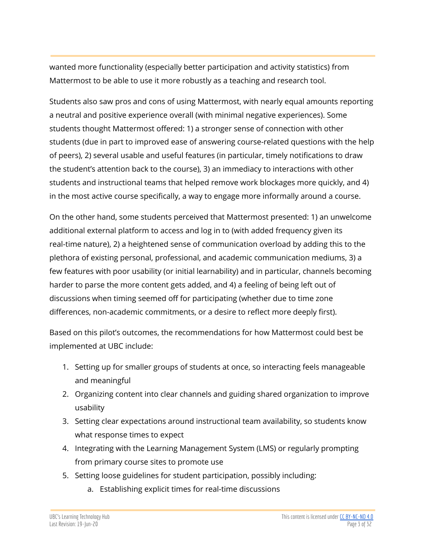wanted more functionality (especially better participation and activity statistics) from Mattermost to be able to use it more robustly as a teaching and research tool.

Students also saw pros and cons of using Mattermost, with nearly equal amounts reporting a neutral and positive experience overall (with minimal negative experiences). Some students thought Mattermost offered: 1) a stronger sense of connection with other students (due in part to improved ease of answering course-related questions with the help of peers), 2) several usable and useful features (in particular, timely notifications to draw the student's attention back to the course), 3) an immediacy to interactions with other students and instructional teams that helped remove work blockages more quickly, and 4) in the most active course specifically, a way to engage more informally around a course.

On the other hand, some students perceived that Mattermost presented: 1) an unwelcome additional external platform to access and log in to (with added frequency given its real-time nature), 2) a heightened sense of communication overload by adding this to the plethora of existing personal, professional, and academic communication mediums, 3) a few features with poor usability (or initial learnability) and in particular, channels becoming harder to parse the more content gets added, and 4) a feeling of being left out of discussions when timing seemed off for participating (whether due to time zone differences, non-academic commitments, or a desire to reflect more deeply first).

Based on this pilot's outcomes, the recommendations for how Mattermost could best be implemented at UBC include:

- 1. Setting up for smaller groups of students at once, so interacting feels manageable and meaningful
- 2. Organizing content into clear channels and guiding shared organization to improve usability
- 3. Setting clear expectations around instructional team availability, so students know what response times to expect
- 4. Integrating with the Learning Management System (LMS) or regularly prompting from primary course sites to promote use
- 5. Setting loose guidelines for student participation, possibly including:
	- a. Establishing explicit times for real-time discussions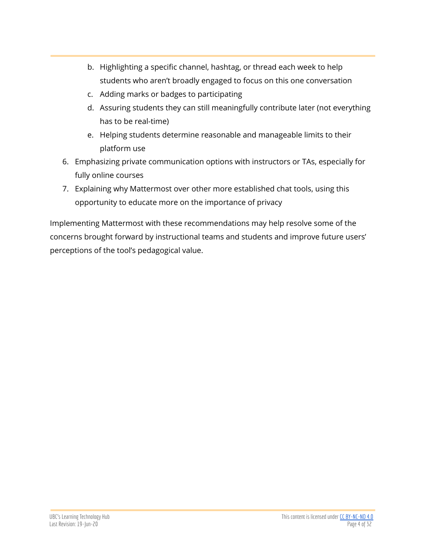- b. Highlighting a specific channel, hashtag, or thread each week to help students who aren't broadly engaged to focus on this one conversation
- c. Adding marks or badges to participating
- d. Assuring students they can still meaningfully contribute later (not everything has to be real-time)
- e. Helping students determine reasonable and manageable limits to their platform use
- 6. Emphasizing private communication options with instructors or TAs, especially for fully online courses
- 7. Explaining why Mattermost over other more established chat tools, using this opportunity to educate more on the importance of privacy

Implementing Mattermost with these recommendations may help resolve some of the concerns brought forward by instructional teams and students and improve future users' perceptions of the tool's pedagogical value.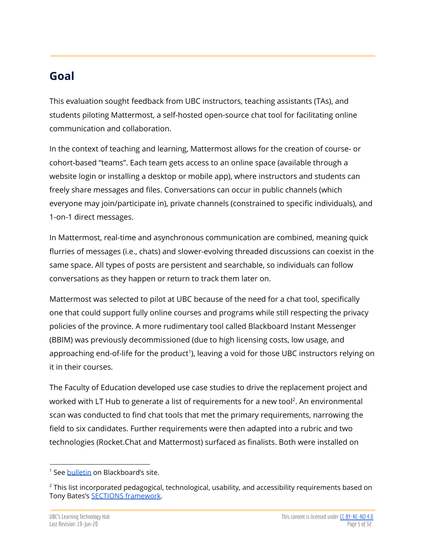# <span id="page-4-0"></span>**Goal**

This evaluation sought feedback from UBC instructors, teaching assistants (TAs), and students piloting Mattermost, a self-hosted open-source chat tool for facilitating online communication and collaboration.

In the context of teaching and learning, Mattermost allows for the creation of course- or cohort-based "teams". Each team gets access to an online space (available through a website login or installing a desktop or mobile app), where instructors and students can freely share messages and files. Conversations can occur in public channels (which everyone may join/participate in), private channels (constrained to specific individuals), and 1-on-1 direct messages.

In Mattermost, real-time and asynchronous communication are combined, meaning quick flurries of messages (i.e., chats) and slower-evolving threaded discussions can coexist in the same space. All types of posts are persistent and searchable, so individuals can follow conversations as they happen or return to track them later on.

Mattermost was selected to pilot at UBC because of the need for a chat tool, specifically one that could support fully online courses and programs while still respecting the privacy policies of the province. A more rudimentary tool called Blackboard Instant Messenger (BBIM) was previously decommissioned (due to high licensing costs, low usage, and approaching end-of-life for the product<sup>1</sup>), leaving a void for those UBC instructors relying on it in their courses.

The Faculty of Education developed use case studies to drive the replacement project and worked with LT Hub to generate a list of requirements for a new tool<sup>2</sup>. An environmental scan was conducted to find chat tools that met the primary requirements, narrowing the field to six candidates. Further requirements were then adapted into a rubric and two technologies (Rocket.Chat and Mattermost) surfaced as finalists. Both were installed on

<sup>&</sup>lt;sup>1</sup> See [bulletin](https://blackboard.secure.force.com/apex/publickbarticleview?id=kAA3900000000H8) on Blackboard's site.

<sup>&</sup>lt;sup>2</sup> This list incorporated pedagogical, technological, usability, and accessibility requirements based on Tony Bates's SECTIONS [framework.](https://www.tonybates.ca/2015/01/03/choosing-a-model-for-media-selection/)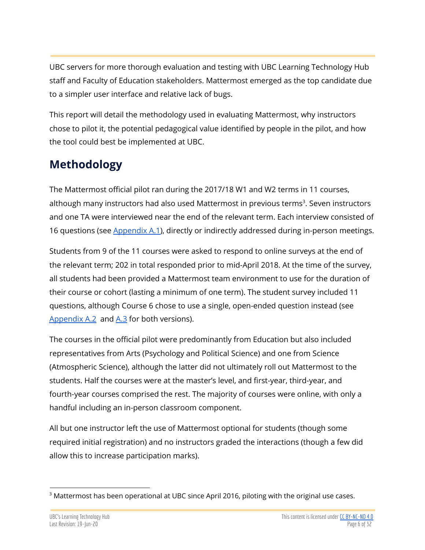UBC servers for more thorough evaluation and testing with UBC Learning Technology Hub staff and Faculty of Education stakeholders. Mattermost emerged as the top candidate due to a simpler user interface and relative lack of bugs.

This report will detail the methodology used in evaluating Mattermost, why instructors chose to pilot it, the potential pedagogical value identified by people in the pilot, and how the tool could best be implemented at UBC.

# <span id="page-5-0"></span>**Methodology**

The Mattermost official pilot ran during the 2017/18 W1 and W2 terms in 11 courses, although many instructors had also used Mattermost in previous terms<sup>3</sup>. Seven instructors and one TA were interviewed near the end of the relevant term. Each interview consisted of 16 questions (see [Appendix](#page-25-2) A.1), directly or indirectly addressed during in-person meetings.

Students from 9 of the 11 courses were asked to respond to online surveys at the end of the relevant term; 202 in total responded prior to mid-April 2018. At the time of the survey, all students had been provided a Mattermost team environment to use for the duration of their course or cohort (lasting a minimum of one term). The student survey included 11 questions, although Course 6 chose to use a single, open-ended question instead (see [Appendix](#page-26-0) A.2 and [A.3](#page-27-0) for both versions).

The courses in the official pilot were predominantly from Education but also included representatives from Arts (Psychology and Political Science) and one from Science (Atmospheric Science), although the latter did not ultimately roll out Mattermost to the students. Half the courses were at the master's level, and first-year, third-year, and fourth-year courses comprised the rest. The majority of courses were online, with only a handful including an in-person classroom component.

All but one instructor left the use of Mattermost optional for students (though some required initial registration) and no instructors graded the interactions (though a few did allow this to increase participation marks).

<sup>&</sup>lt;sup>3</sup> Mattermost has been operational at UBC since April 2016, piloting with the original use cases.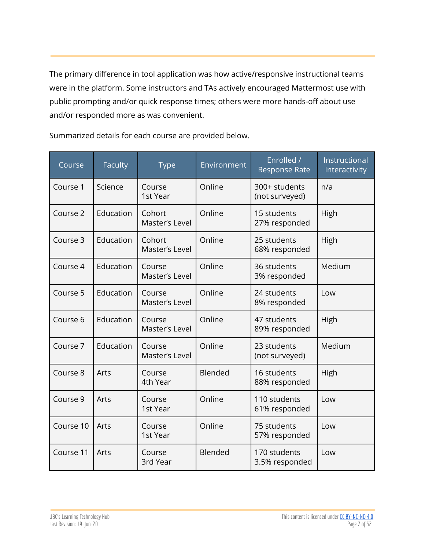The primary difference in tool application was how active/responsive instructional teams were in the platform. Some instructors and TAs actively encouraged Mattermost use with public prompting and/or quick response times; others were more hands-off about use and/or responded more as was convenient.

Course Faculty Type Environment Enrolled / Response Rate Instructional Interactivity Course 1 | Science | Course 1st Year Online 300+ students (not surveyed) n/a Course 2 | Education | Cohort Master's Level Online | 15 students 27% responded High Course 3 | Education | Cohort Master's Level Online 25 students 68% responded High Course 4 | Education | Course Master's Level Online 36 students 3% responded Medium Course 5 | Education | Course Master's Level Online 24 students 8% responded Low Course 6 | Education | Course Master's Level Online | 47 students 89% responded High Course 7 | Education | Course Master's Level Online 23 students (not surveyed) Medium Course 8 | Arts | Course 4th Year Blended 16 students 88% responded High Course 9 | Arts | Course 1st Year Online 110 students 61% responded Low Course 10 | Arts | Course 1st Year Online 75 students 57% responded Low Course 11 | Arts | Course 3rd Year Blended 170 students 3.5% responded Low

Summarized details for each course are provided below.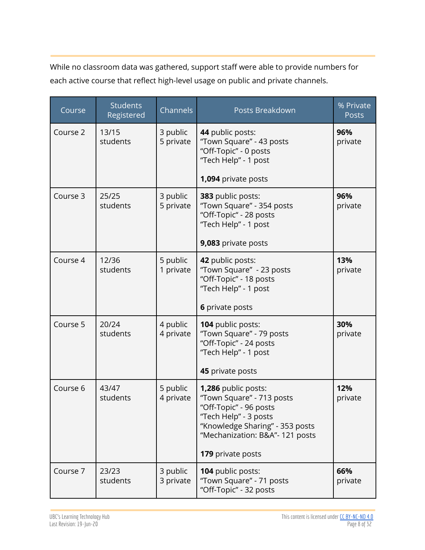While no classroom data was gathered, support staff were able to provide numbers for each active course that reflect high-level usage on public and private channels.

| Course   | <b>Students</b><br>Registered | Channels              | Posts Breakdown                                                                                                                                                                                | % Private<br>Posts |
|----------|-------------------------------|-----------------------|------------------------------------------------------------------------------------------------------------------------------------------------------------------------------------------------|--------------------|
| Course 2 | 13/15<br>students             | 3 public<br>5 private | 44 public posts:<br>"Town Square" - 43 posts<br>"Off-Topic" - 0 posts<br>"Tech Help" - 1 post<br>1,094 private posts                                                                           | 96%<br>private     |
| Course 3 | 25/25<br>students             | 3 public<br>5 private | 383 public posts:<br>"Town Square" - 354 posts<br>"Off-Topic" - 28 posts<br>"Tech Help" - 1 post<br>9,083 private posts                                                                        | 96%<br>private     |
| Course 4 | 12/36<br>students             | 5 public<br>1 private | 42 public posts:<br>"Town Square" - 23 posts<br>"Off-Topic" - 18 posts<br>"Tech Help" - 1 post<br>6 private posts                                                                              | 13%<br>private     |
| Course 5 | 20/24<br>students             | 4 public<br>4 private | 104 public posts:<br>"Town Square" - 79 posts<br>"Off-Topic" - 24 posts<br>"Tech Help" - 1 post<br>45 private posts                                                                            | 30%<br>private     |
| Course 6 | 43/47<br>students             | 5 public<br>4 private | 1,286 public posts:<br>"Town Square" - 713 posts<br>"Off-Topic" - 96 posts<br>"Tech Help" - 3 posts<br>"Knowledge Sharing" - 353 posts<br>"Mechanization: B&A"- 121 posts<br>179 private posts | 12%<br>private     |
| Course 7 | 23/23<br>students             | 3 public<br>3 private | 104 public posts:<br>"Town Square" - 71 posts<br>"Off-Topic" - 32 posts                                                                                                                        | 66%<br>private     |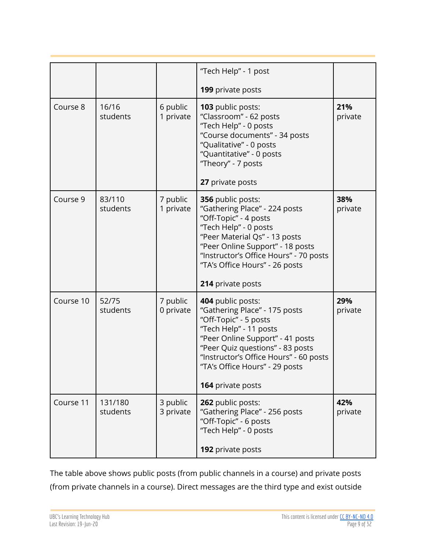|           |                     |                       | "Tech Help" - 1 post                                                                                                                                                                                                                                                           |                |
|-----------|---------------------|-----------------------|--------------------------------------------------------------------------------------------------------------------------------------------------------------------------------------------------------------------------------------------------------------------------------|----------------|
|           |                     |                       | 199 private posts                                                                                                                                                                                                                                                              |                |
| Course 8  | 16/16<br>students   | 6 public<br>1 private | 103 public posts:<br>"Classroom" - 62 posts<br>"Tech Help" - 0 posts<br>"Course documents" - 34 posts<br>"Qualitative" - 0 posts<br>"Quantitative" - 0 posts<br>"Theory" - 7 posts<br>27 private posts                                                                         | 21%<br>private |
| Course 9  | 83/110<br>students  | 7 public<br>1 private | 356 public posts:<br>"Gathering Place" - 224 posts<br>"Off-Topic" - 4 posts<br>"Tech Help" - 0 posts<br>"Peer Material Qs" - 13 posts<br>"Peer Online Support" - 18 posts<br>"Instructor's Office Hours" - 70 posts<br>"TA's Office Hours" - 26 posts<br>214 private posts     | 38%<br>private |
| Course 10 | 52/75<br>students   | 7 public<br>0 private | 404 public posts:<br>"Gathering Place" - 175 posts<br>"Off-Topic" - 5 posts<br>"Tech Help" - 11 posts<br>"Peer Online Support" - 41 posts<br>"Peer Quiz questions" - 83 posts<br>"Instructor's Office Hours" - 60 posts<br>"TA's Office Hours" - 29 posts<br>164 private posts | 29%<br>private |
| Course 11 | 131/180<br>students | 3 public<br>3 private | 262 public posts:<br>"Gathering Place" - 256 posts<br>"Off-Topic" - 6 posts<br>"Tech Help" - 0 posts                                                                                                                                                                           | 42%<br>private |
|           |                     |                       | 192 private posts                                                                                                                                                                                                                                                              |                |

The table above shows public posts (from public channels in a course) and private posts (from private channels in a course). Direct messages are the third type and exist outside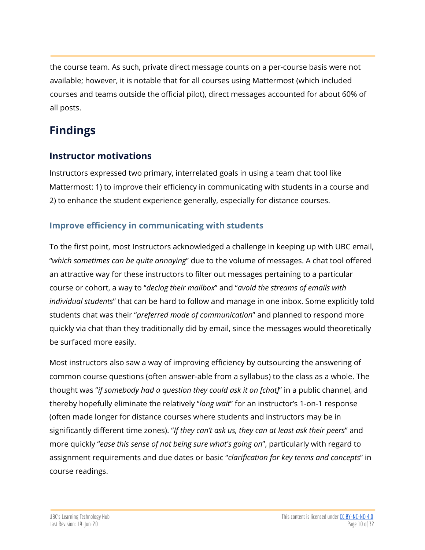the course team. As such, private direct message counts on a per-course basis were not available; however, it is notable that for all courses using Mattermost (which included courses and teams outside the official pilot), direct messages accounted for about 60% of all posts.

# <span id="page-9-0"></span>**Findings**

# <span id="page-9-1"></span>**Instructor motivations**

Instructors expressed two primary, interrelated goals in using a team chat tool like Mattermost: 1) to improve their efficiency in communicating with students in a course and 2) to enhance the student experience generally, especially for distance courses.

## **Improve efficiency in communicating with students**

To the first point, most Instructors acknowledged a challenge in keeping up with UBC email, "*which sometimes can be quite annoying*" due to the volume of messages. A chat tool offered an attractive way for these instructors to filter out messages pertaining to a particular course or cohort, a way to "*declog their mailbox*" and "*avoid the streams of emails with individual students*" that can be hard to follow and manage in one inbox. Some explicitly told students chat was their "*preferred mode of communication*" and planned to respond more quickly via chat than they traditionally did by email, since the messages would theoretically be surfaced more easily.

Most instructors also saw a way of improving efficiency by outsourcing the answering of common course questions (often answer-able from a syllabus) to the class as a whole. The thought was "*if somebody had a question they could ask it on [chat]*" in a public channel, and thereby hopefully eliminate the relatively "*long wait*" for an instructor's 1-on-1 response (often made longer for distance courses where students and instructors may be in significantly different time zones). "*If they can't ask us, they can at least ask their peers*" and more quickly "*ease this sense of not being sure what's going on*", particularly with regard to assignment requirements and due dates or basic "*clarification for key terms and concepts*" in course readings.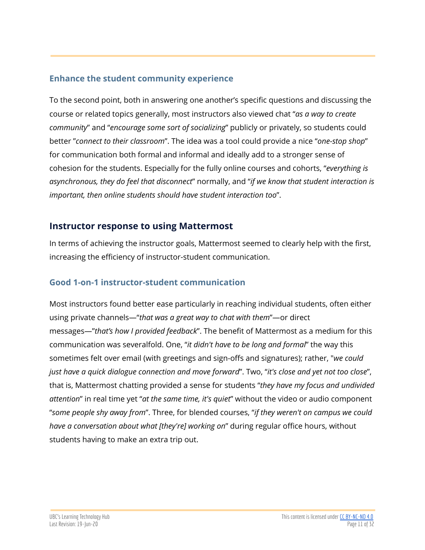#### **Enhance the student community experience**

To the second point, both in answering one another's specific questions and discussing the course or related topics generally, most instructors also viewed chat "*as a way to create community*" and "*encourage some sort of socializing*" publicly or privately, so students could better "*connect to their classroom*". The idea was a tool could provide a nice "*one-stop shop*" for communication both formal and informal and ideally add to a stronger sense of cohesion for the students. Especially for the fully online courses and cohorts, "*everything is asynchronous, they do feel that disconnect*" normally, and "*if we know that student interaction is important, then online students should have student interaction too*".

#### <span id="page-10-0"></span>**Instructor response to using Mattermost**

In terms of achieving the instructor goals, Mattermost seemed to clearly help with the first, increasing the efficiency of instructor-student communication.

#### <span id="page-10-1"></span>**Good 1-on-1 instructor-student communication**

Most instructors found better ease particularly in reaching individual students, often either using private channels—"*that was a great way to chat with them*"—or direct messages—"*that's how I provided feedback*". The benefit of Mattermost as a medium for this communication was severalfold. One, "*it didn't have to be long and formal*" the way this sometimes felt over email (with greetings and sign-offs and signatures); rather, "*we could just have a quick dialogue connection and move forward*". Two, "*it's close and yet not too close*", that is, Mattermost chatting provided a sense for students "*they have my focus and undivided attention*" in real time yet "*at the same time, it's quiet*" without the video or audio component "*some people shy away from*". Three, for blended courses, "*if they weren't on campus we could have a conversation about what [they're] working on*" during regular office hours, without students having to make an extra trip out.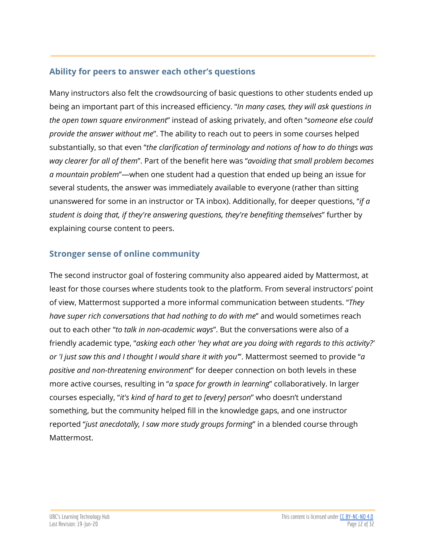#### <span id="page-11-0"></span>**Ability for peers to answer each other's questions**

Many instructors also felt the crowdsourcing of basic questions to other students ended up being an important part of this increased efficiency. "*In many cases, they will ask questions in the open town square environment*" instead of asking privately, and often "*someone else could provide the answer without me*". The ability to reach out to peers in some courses helped substantially, so that even "*the clarification of terminology and notions of how to do things was way clearer for all of them*". Part of the benefit here was "*avoiding that small problem becomes a mountain problem*"—when one student had a question that ended up being an issue for several students, the answer was immediately available to everyone (rather than sitting unanswered for some in an instructor or TA inbox). Additionally, for deeper questions, "*if a student is doing that, if they're answering questions, they're benefiting themselves*" further by explaining course content to peers.

#### **Stronger sense of online community**

The second instructor goal of fostering community also appeared aided by Mattermost, at least for those courses where students took to the platform. From several instructors' point of view, Mattermost supported a more informal communication between students. "*They have super rich conversations that had nothing to do with me*" and would sometimes reach out to each other "*to talk in non-academic ways*". But the conversations were also of a friendly academic type, "*asking each other 'hey what are you doing with regards to this activity?' or 'I just saw this and I thought I would share it with you'*". Mattermost seemed to provide "*a positive and non-threatening environment*" for deeper connection on both levels in these more active courses, resulting in "*a space for growth in learning*" collaboratively. In larger courses especially, "*it's kind of hard to get to [every] person*" who doesn't understand something, but the community helped fill in the knowledge gaps, and one instructor reported "*just anecdotally, I saw more study groups forming*" in a blended course through Mattermost.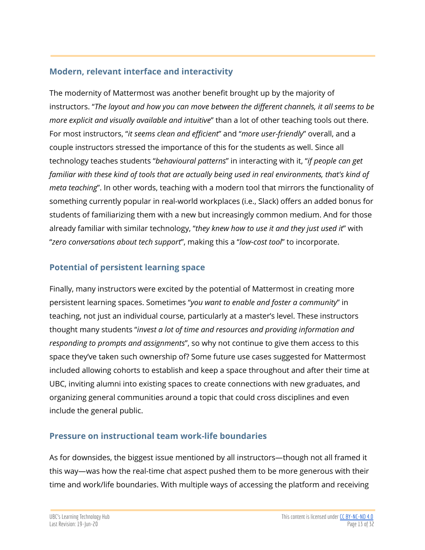#### <span id="page-12-0"></span>**Modern, relevant interface and interactivity**

The modernity of Mattermost was another benefit brought up by the majority of instructors. "*The layout and how you can move between the different channels, it all seems to be more explicit and visually available and intuitive*" than a lot of other teaching tools out there. For most instructors, "*it seems clean and efficient*" and "*more user-friendly*" overall, and a couple instructors stressed the importance of this for the students as well. Since all technology teaches students "*behavioural patterns*" in interacting with it, "*if people can get familiar with these kind of tools that are actually being used in real environments, that's kind of meta teaching*". In other words, teaching with a modern tool that mirrors the functionality of something currently popular in real-world workplaces (i.e., Slack) offers an added bonus for students of familiarizing them with a new but increasingly common medium. And for those already familiar with similar technology, "*they knew how to use it and they just used it*" with "*zero conversations about tech support*", making this a "*low-cost tool*" to incorporate.

#### **Potential of persistent learning space**

Finally, many instructors were excited by the potential of Mattermost in creating more persistent learning spaces. Sometimes "*you want to enable and foster a community*" in teaching, not just an individual course, particularly at a master's level. These instructors thought many students "*invest a lot of time and resources and providing information and responding to prompts and assignments*", so why not continue to give them access to this space they've taken such ownership of? Some future use cases suggested for Mattermost included allowing cohorts to establish and keep a space throughout and after their time at UBC, inviting alumni into existing spaces to create connections with new graduates, and organizing general communities around a topic that could cross disciplines and even include the general public.

#### <span id="page-12-1"></span>**Pressure on instructional team work-life boundaries**

As for downsides, the biggest issue mentioned by all instructors—though not all framed it this way—was how the real-time chat aspect pushed them to be more generous with their time and work/life boundaries. With multiple ways of accessing the platform and receiving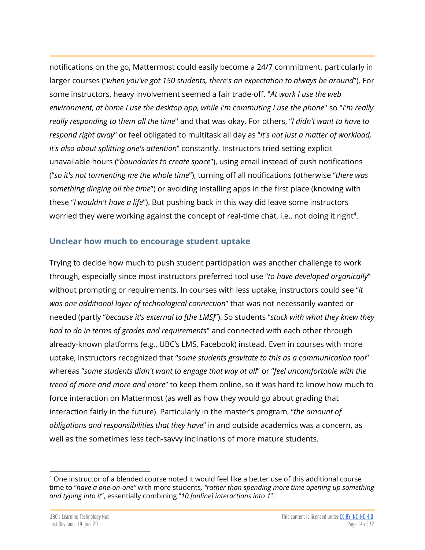notifications on the go, Mattermost could easily become a 24/7 commitment, particularly in larger courses ("*when you've got 150 students, there's an expectation to always be around*"). For some instructors, heavy involvement seemed a fair trade-off. "*At work I use the web environment, at home I use the desktop app, while I'm commuting I use the phone*" so "*I'm really really responding to them all the time*" and that was okay. For others, "*I didn't want to have to respond right away*" or feel obligated to multitask all day as "*it's not just a matter of workload, it's also about splitting one's attention*" constantly. Instructors tried setting explicit unavailable hours ("*boundaries to create space*"), using email instead of push notifications ("*so it's not tormenting me the whole time*"), turning off all notifications (otherwise "*there was something dinging all the time*") or avoiding installing apps in the first place (knowing with these "*I wouldn't have a life*"). But pushing back in this way did leave some instructors worried they were working against the concept of real-time chat, i.e., not doing it right<sup>4</sup>.

#### <span id="page-13-0"></span>**Unclear how much to encourage student uptake**

Trying to decide how much to push student participation was another challenge to work through, especially since most instructors preferred tool use "*to have developed organically*" without prompting or requirements. In courses with less uptake, instructors could see "*it was one additional layer of technological connection*" that was not necessarily wanted or needed (partly "*because it's external to [the LMS]*"). So students "*stuck with what they knew they had to do in terms of grades and requirements*" and connected with each other through already-known platforms (e.g., UBC's LMS, Facebook) instead. Even in courses with more uptake, instructors recognized that "*some students gravitate to this as a communication tool*" whereas "*some students didn't want to engage that way at all*" or "*feel uncomfortable with the trend of more and more and more*" to keep them online, so it was hard to know how much to force interaction on Mattermost (as well as how they would go about grading that interaction fairly in the future). Particularly in the master's program, "*the amount of obligations and responsibilities that they have*" in and outside academics was a concern, as well as the sometimes less tech-savvy inclinations of more mature students.

 $4$  One instructor of a blended course noted it would feel like a better use of this additional course time to "*have a one-on-one"* with more students*, "rather than spending more time opening up something and typing into it*", essentially combining "*10 [online] interactions into 1*".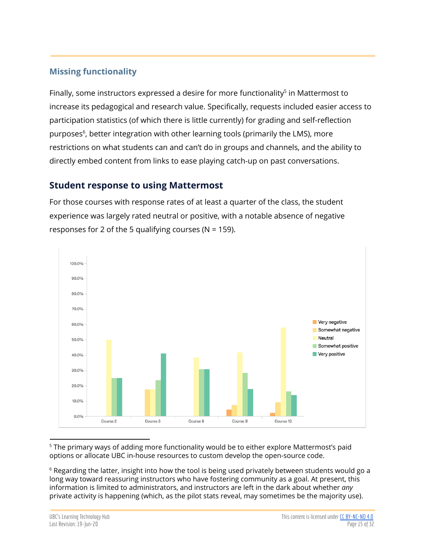#### **Missing functionality**

Finally, some instructors expressed a desire for more functionality<sup>5</sup> in Mattermost to increase its pedagogical and research value. Specifically, requests included easier access to participation statistics (of which there is little currently) for grading and self-reflection purposes<sup>6</sup>, better integration with other learning tools (primarily the LMS), more restrictions on what students can and can't do in groups and channels, and the ability to directly embed content from links to ease playing catch-up on past conversations.

#### <span id="page-14-0"></span>**Student response to using Mattermost**

For those courses with response rates of at least a quarter of the class, the student experience was largely rated neutral or positive, with a notable absence of negative responses for 2 of the 5 qualifying courses ( $N = 159$ ).



<sup>5</sup> The primary ways of adding more functionality would be to either explore Mattermost's paid options or allocate UBC in-house resources to custom develop the open-source code.

 $6$  Regarding the latter, insight into how the tool is being used privately between students would go a long way toward reassuring instructors who have fostering community as a goal. At present, this information is limited to administrators, and instructors are left in the dark about whether *any* private activity is happening (which, as the pilot stats reveal, may sometimes be the majority use).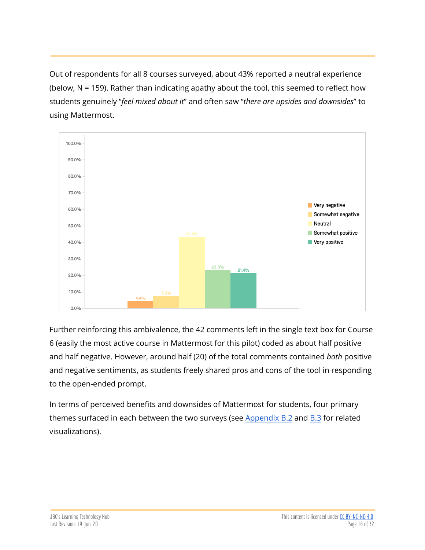Out of respondents for all 8 courses surveyed, about 43% reported a neutral experience (below, N = 159). Rather than indicating apathy about the tool, this seemed to reflect how students genuinely "*feel mixed about it*" and often saw "*there are upsides and downsides*" to using Mattermost.



Further reinforcing this ambivalence, the 42 comments left in the single text box for Course 6 (easily the most active course in Mattermost for this pilot) coded as about half positive and half negative. However, around half (20) of the total comments contained *both* positive and negative sentiments, as students freely shared pros and cons of the tool in responding to the open-ended prompt.

In terms of perceived benefits and downsides of Mattermost for students, four primary themes surfaced in each between the two surveys (see  $Appendix B.2$  $Appendix B.2$  and  $B.3$  for related visualizations).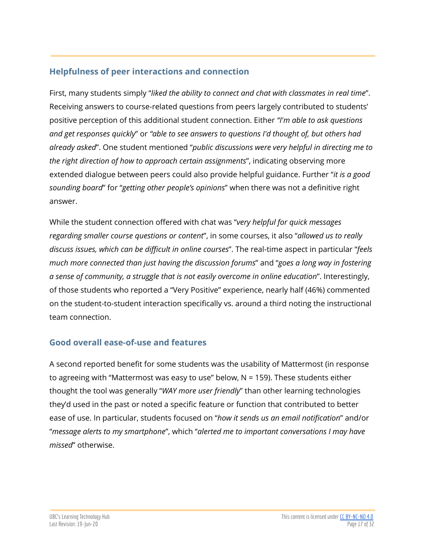## <span id="page-16-0"></span>**Helpfulness of peer interactions and connection**

First, many students simply "*liked the ability to connect and chat with classmates in real time*". Receiving answers to course-related questions from peers largely contributed to students' positive perception of this additional student connection. Either *"I'm able to ask questions and get responses quickly*" or *"able to see answers to questions I'd thought of, but others had already asked*". One student mentioned "*public discussions were very helpful in directing me to the right direction of how to approach certain assignments*", indicating observing more extended dialogue between peers could also provide helpful guidance. Further "*it is a good sounding board*" for "*getting other people's opinions*" when there was not a definitive right answer.

While the student connection offered with chat was "*very helpful for quick messages regarding smaller course questions or content*", in some courses, it also "*allowed us to really discuss issues, which can be difficult in online courses*". The real-time aspect in particular "*feels much more connected than just having the discussion forums*" and "*goes a long way in fostering a sense of community, a struggle that is not easily overcome in online education*". Interestingly, of those students who reported a "Very Positive" experience, nearly half (46%) commented on the student-to-student interaction specifically vs. around a third noting the instructional team connection.

#### <span id="page-16-1"></span>**Good overall ease-of-use and features**

A second reported benefit for some students was the usability of Mattermost (in response to agreeing with "Mattermost was easy to use" below, N = 159). These students either thought the tool was generally "*WAY more user friendly*" than other learning technologies they'd used in the past or noted a specific feature or function that contributed to better ease of use. In particular, students focused on "*how it sends us an email notification*" and/or "*message alerts to my smartphone*", which "*alerted me to important conversations I may have missed*" otherwise.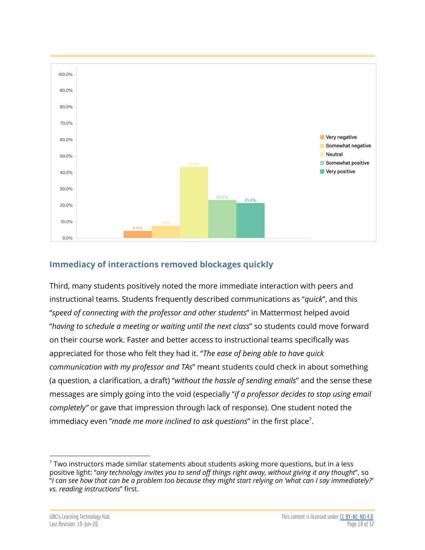

#### <span id="page-17-0"></span>**Immediacy of interactions removed blockages quickly**

Third, many students positively noted the more immediate interaction with peers and instructional teams. Students frequently described communications as "*quick*", and this "*speed of connecting with the professor and other students*" in Mattermost helped avoid "*having to schedule a meeting or waiting until the next class*" so students could move forward on their course work. Faster and better access to instructional teams specifically was appreciated for those who felt they had it. "*The ease of being able to have quick communication with my professor and TAs*" meant students could check in about something (a question, a clarification, a draft) "*without the hassle of sending emails*" and the sense these messages are simply going into the void (especially "*if a professor decides to stop using email completely"* or gave that impression through lack of response). One student noted the immediacy even "made me more inclined to ask questions" in the first place<sup>7</sup>.

 $7$  Two instructors made similar statements about students asking more questions, but in a less positive light: "*any technology invites you to send off things right away, without giving it any thought*", so "I can see how that can be a problem too because they might start relying on 'what can I say immediately?' *vs. reading instructions*" first.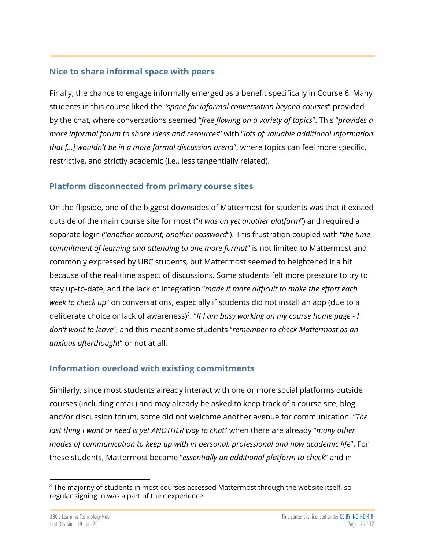#### <span id="page-18-0"></span>**Nice to share informal space with peers**

Finally, the chance to engage informally emerged as a benefit specifically in Course 6. Many students in this course liked the "*space for informal conversation beyond courses*" provided by the chat, where conversations seemed "*free flowing on a variety of topics*". This "*provides a more informal forum to share ideas and resources*" with "*lots of valuable additional information that [...] wouldn't be in a more formal discussion arena*", where topics can feel more specific, restrictive, and strictly academic (i.e., less tangentially related).

#### <span id="page-18-2"></span>**Platform disconnected from primary course sites**

On the flipside, one of the biggest downsides of Mattermost for students was that it existed outside of the main course site for most ("*it was on yet another platform*") and required a separate login ("*another account, another password*"). This frustration coupled with "*the time commitment of learning and attending to one more format*" is not limited to Mattermost and commonly expressed by UBC students, but Mattermost seemed to heightened it a bit because of the real-time aspect of discussions. Some students felt more pressure to try to stay up-to-date, and the lack of integration "*made it more difficult to make the effort each week to check up*" on conversations, especially if students did not install an app (due to a deliberate choice or lack of awareness) . "*If I am busy working on my course home page - I* 8 *don't want to leave*", and this meant some students "*remember to check Mattermost as an anxious afterthought*" or not at all.

#### <span id="page-18-1"></span>**Information overload with existing commitments**

Similarly, since most students already interact with one or more social platforms outside courses (including email) and may already be asked to keep track of a course site, blog, and/or discussion forum, some did not welcome another avenue for communication. "*The last thing I want or need is yet ANOTHER way to chat*" when there are already "*many other modes of communication to keep up with in personal, professional and now academic life*". For these students, Mattermost became "*essentially an additional platform to check*" and in

 $8$  The majority of students in most courses accessed Mattermost through the website itself, so regular signing in was a part of their experience.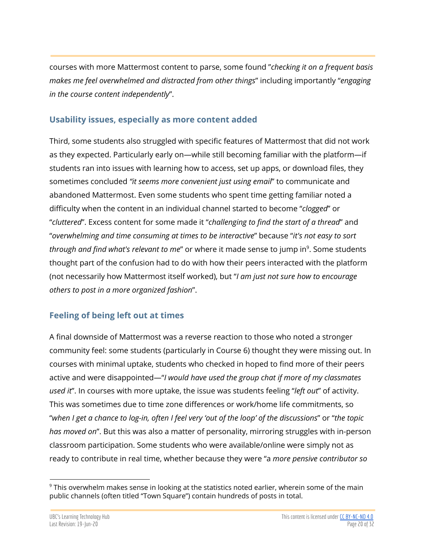courses with more Mattermost content to parse, some found "*checking it on a frequent basis makes me feel overwhelmed and distracted from other things*" including importantly "*engaging in the course content independently*".

#### <span id="page-19-0"></span>**Usability issues, especially as more content added**

Third, some students also struggled with specific features of Mattermost that did not work as they expected. Particularly early on—while still becoming familiar with the platform—if students ran into issues with learning how to access, set up apps, or download files, they sometimes concluded *"it seems more convenient just using email*" to communicate and abandoned Mattermost. Even some students who spent time getting familiar noted a difficulty when the content in an individual channel started to become "*clogged*" or "*cluttered*". Excess content for some made it "*challenging to find the start of a thread*" and "*overwhelming and time consuming at times to be interactive*" because "*it's not easy to sort through and find what's relevant to me"* or where it made sense to jump in<sup>9</sup>. Some students thought part of the confusion had to do with how their peers interacted with the platform (not necessarily how Mattermost itself worked), but "*I am just not sure how to encourage others to post in a more organized fashion*".

#### <span id="page-19-1"></span>**Feeling of being left out at times**

A final downside of Mattermost was a reverse reaction to those who noted a stronger community feel: some students (particularly in Course 6) thought they were missing out. In courses with minimal uptake, students who checked in hoped to find more of their peers active and were disappointed—"*I would have used the group chat if more of my classmates used it*". In courses with more uptake, the issue was students feeling "*left out*" of activity. This was sometimes due to time zone differences or work/home life commitments, so "when I get a chance to log-in, often I feel very 'out of the loop' of the discussions" or "the topic *has moved on*". But this was also a matter of personality, mirroring struggles with in-person classroom participation. Some students who were available/online were simply not as ready to contribute in real time, whether because they were "a *more pensive contributor so*

 $9$  This overwhelm makes sense in looking at the statistics noted earlier, wherein some of the main public channels (often titled "Town Square") contain hundreds of posts in total.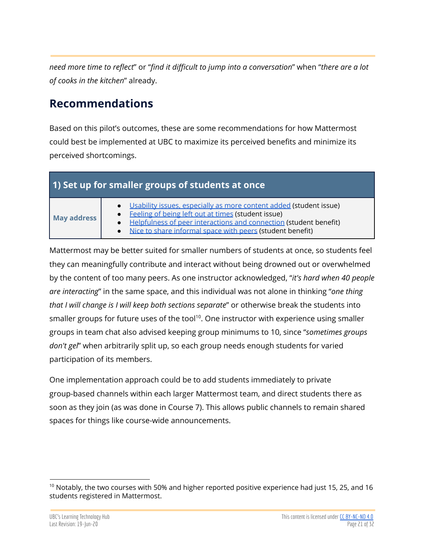*need more time to reflect*" or "*find it difficult to jump into a conversation*" when "*there are a lot of cooks in the kitchen*" already.

# <span id="page-20-0"></span>**Recommendations**

Based on this pilot's outcomes, these are some recommendations for how Mattermost could best be implemented at UBC to maximize its perceived benefits and minimize its perceived shortcomings.

## <span id="page-20-1"></span>**1) Set up for smaller groups of students at once**

# **May address**

- Usability issues, [especially](#page-19-0) as more content added (student issue)
- **[Feeling](#page-19-1) of being left out at times (student issue)**
- Helpfulness of peer [interactions](#page-16-0) and connection (student benefit)
- Nice to share [informal](#page-18-0) space with peers (student benefit)

Mattermost may be better suited for smaller numbers of students at once, so students feel they can meaningfully contribute and interact without being drowned out or overwhelmed by the content of too many peers. As one instructor acknowledged, "*it's hard when 40 people are interacting*" in the same space, and this individual was not alone in thinking "*one thing that I will change is I will keep both sections separate*" or otherwise break the students into smaller groups for future uses of the tool<sup>10</sup>. One instructor with experience using smaller groups in team chat also advised keeping group minimums to 10, since "*sometimes groups don't gel*" when arbitrarily split up, so each group needs enough students for varied participation of its members.

One implementation approach could be to add students immediately to private group-based channels within each larger Mattermost team, and direct students there as soon as they join (as was done in Course 7). This allows public channels to remain shared spaces for things like course-wide announcements.

<sup>&</sup>lt;sup>10</sup> Notably, the two courses with 50% and higher reported positive experience had just 15, 25, and 16 students registered in Mattermost.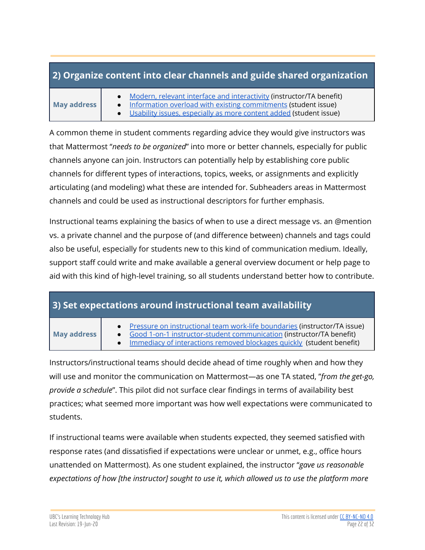## <span id="page-21-0"></span>**2) Organize content into clear channels and guide shared organization**

#### **May address**

- Modern, relevant interface and [interactivity](#page-12-0) (instructor/TA benefit)
- Information overload with existing [commitments](#page-18-1) (student issue)
- Usability issues, [especially](#page-19-0) as more content added (student issue)

A common theme in student comments regarding advice they would give instructors was that Mattermost "*needs to be organized*" into more or better channels, especially for public channels anyone can join. Instructors can potentially help by establishing core public channels for different types of interactions, topics, weeks, or assignments and explicitly articulating (and modeling) what these are intended for. Subheaders areas in Mattermost channels and could be used as instructional descriptors for further emphasis.

Instructional teams explaining the basics of when to use a direct message vs. an @mention vs. a private channel and the purpose of (and difference between) channels and tags could also be useful, especially for students new to this kind of communication medium. Ideally, support staff could write and make available a general overview document or help page to aid with this kind of high-level training, so all students understand better how to contribute.

# <span id="page-21-1"></span>**3) Set expectations around instructional team availability**

#### **May address**

- Pressure on [instructional](#page-12-1) team work-life boundaries (instructor/TA issue)
- Good 1-on-1 [instructor-student](#page-10-1) communication (instructor/TA benefit)
- Immediacy of [interactions](#page-17-0) removed blockages quickly (student benefit)

Instructors/instructional teams should decide ahead of time roughly when and how they will use and monitor the communication on Mattermost—as one TA stated, "*from the get-go, provide a schedule*". This pilot did not surface clear findings in terms of availability best practices; what seemed more important was how well expectations were communicated to students.

If instructional teams were available when students expected, they seemed satisfied with response rates (and dissatisfied if expectations were unclear or unmet, e.g., office hours unattended on Mattermost). As one student explained, the instructor "*gave us reasonable expectations of how [the instructor] sought to use it, which allowed us to use the platform more*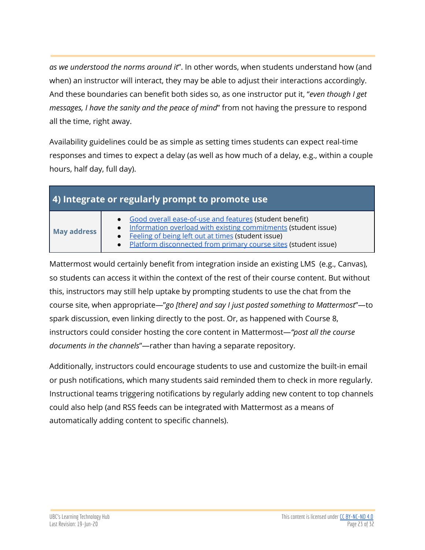*as we understood the norms around it*". In other words, when students understand how (and when) an instructor will interact, they may be able to adjust their interactions accordingly. And these boundaries can benefit both sides so, as one instructor put it, "*even though I get messages, I have the sanity and the peace of mind*" from not having the pressure to respond all the time, right away.

Availability guidelines could be as simple as setting times students can expect real-time responses and times to expect a delay (as well as how much of a delay, e.g., within a couple hours, half day, full day).

<span id="page-22-0"></span>

| 4) Integrate or regularly prompt to promote use |  |  |  |  |  |  |  |
|-------------------------------------------------|--|--|--|--|--|--|--|
|-------------------------------------------------|--|--|--|--|--|--|--|

| <b>May address</b> |
|--------------------|

- Good overall [ease-of-use](#page-16-1) and features (student benefit)
- Information overload with existing [commitments](#page-18-1) (student issue)
- **[Feeling](#page-19-1) of being left out at times (student issue)** 
	- **Platform [disconnected](#page-18-2) from primary course sites (student issue)**

Mattermost would certainly benefit from integration inside an existing LMS (e.g., Canvas), so students can access it within the context of the rest of their course content. But without this, instructors may still help uptake by prompting students to use the chat from the course site, when appropriate—"*go [there] and say I just posted something to Mattermost*"—to spark discussion, even linking directly to the post. Or, as happened with Course 8, instructors could consider hosting the core content in Mattermost—*"post all the course documents in the channels*"—rather than having a separate repository.

Additionally, instructors could encourage students to use and customize the built-in email or push notifications, which many students said reminded them to check in more regularly. Instructional teams triggering notifications by regularly adding new content to top channels could also help (and RSS feeds can be integrated with Mattermost as a means of automatically adding content to specific channels).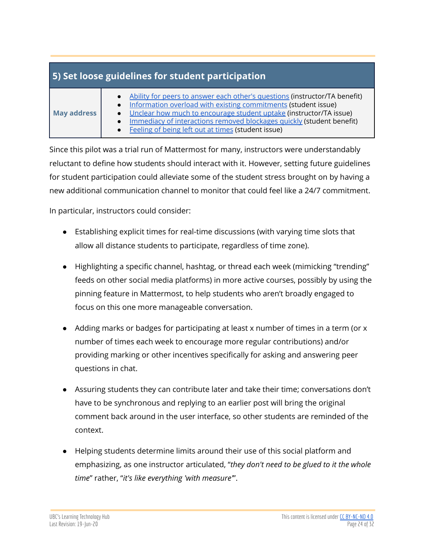<span id="page-23-0"></span>

| 5) Set loose guidelines for student participation |                                                                                                                                                                                                                                                                                                                                                           |  |  |  |  |  |  |
|---------------------------------------------------|-----------------------------------------------------------------------------------------------------------------------------------------------------------------------------------------------------------------------------------------------------------------------------------------------------------------------------------------------------------|--|--|--|--|--|--|
| May address                                       | • Ability for peers to answer each other's questions (instructor/TA benefit)<br>• Information overload with existing commitments (student issue)<br>• Unclear how much to encourage student uptake (instructor/TA issue)<br>Immediacy of interactions removed blockages quickly (student benefit)<br>• Feeling of being left out at times (student issue) |  |  |  |  |  |  |

Since this pilot was a trial run of Mattermost for many, instructors were understandably reluctant to define how students should interact with it. However, setting future guidelines for student participation could alleviate some of the student stress brought on by having a new additional communication channel to monitor that could feel like a 24/7 commitment.

In particular, instructors could consider:

- Establishing explicit times for real-time discussions (with varying time slots that allow all distance students to participate, regardless of time zone).
- Highlighting a specific channel, hashtag, or thread each week (mimicking "trending" feeds on other social media platforms) in more active courses, possibly by using the pinning feature in Mattermost, to help students who aren't broadly engaged to focus on this one more manageable conversation.
- Adding marks or badges for participating at least x number of times in a term (or x number of times each week to encourage more regular contributions) and/or providing marking or other incentives specifically for asking and answering peer questions in chat.
- Assuring students they can contribute later and take their time; conversations don't have to be synchronous and replying to an earlier post will bring the original comment back around in the user interface, so other students are reminded of the context.
- Helping students determine limits around their use of this social platform and emphasizing, as one instructor articulated, "*they don't need to be glued to it the whole time*" rather, "*it's like everything 'with measure'*".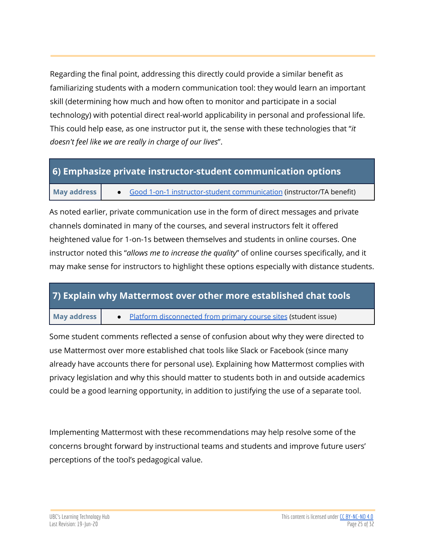Regarding the final point, addressing this directly could provide a similar benefit as familiarizing students with a modern communication tool: they would learn an important skill (determining how much and how often to monitor and participate in a social technology) with potential direct real-world applicability in personal and professional life. This could help ease, as one instructor put it, the sense with these technologies that "*it doesn't feel like we are really in charge of our lives*".

#### <span id="page-24-0"></span>**6) Emphasize private instructor-student communication options**

#### **May address**  $\begin{bmatrix} 0 & 0 \\ 0 & 0 \end{bmatrix}$  and 1-on-1 [instructor-student](#page-10-1) communication (instructor/TA benefit)

As noted earlier, private communication use in the form of direct messages and private channels dominated in many of the courses, and several instructors felt it offered heightened value for 1-on-1s between themselves and students in online courses. One instructor noted this "*allows me to increase the quality*" of online courses specifically, and it may make sense for instructors to highlight these options especially with distance students.

#### <span id="page-24-1"></span>**7) Explain why Mattermost over other more established chat tools**

**May address •** Platform [disconnected](#page-18-2) from primary course sites (student issue)

Some student comments reflected a sense of confusion about why they were directed to use Mattermost over more established chat tools like Slack or Facebook (since many already have accounts there for personal use). Explaining how Mattermost complies with privacy legislation and why this should matter to students both in and outside academics could be a good learning opportunity, in addition to justifying the use of a separate tool.

Implementing Mattermost with these recommendations may help resolve some of the concerns brought forward by instructional teams and students and improve future users' perceptions of the tool's pedagogical value.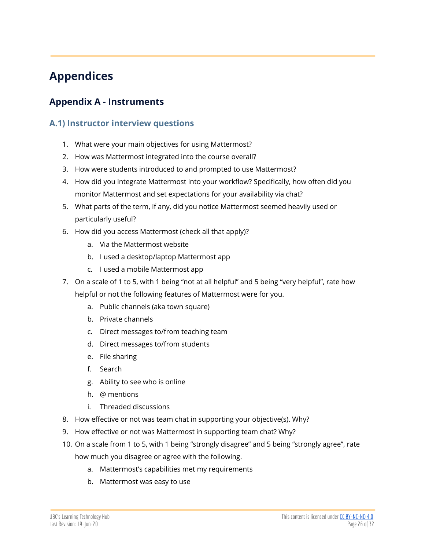# <span id="page-25-0"></span>**Appendices**

# <span id="page-25-2"></span><span id="page-25-1"></span>**Appendix A - Instruments**

#### **A.1) Instructor interview questions**

- 1. What were your main objectives for using Mattermost?
- 2. How was Mattermost integrated into the course overall?
- 3. How were students introduced to and prompted to use Mattermost?
- 4. How did you integrate Mattermost into your workflow? Specifically, how often did you monitor Mattermost and set expectations for your availability via chat?
- 5. What parts of the term, if any, did you notice Mattermost seemed heavily used or particularly useful?
- 6. How did you access Mattermost (check all that apply)?
	- a. Via the Mattermost website
	- b. I used a desktop/laptop Mattermost app
	- c. I used a mobile Mattermost app
- 7. On a scale of 1 to 5, with 1 being "not at all helpful" and 5 being "very helpful", rate how helpful or not the following features of Mattermost were for you.
	- a. Public channels (aka town square)
	- b. Private channels
	- c. Direct messages to/from teaching team
	- d. Direct messages to/from students
	- e. File sharing
	- f. Search
	- g. Ability to see who is online
	- h. @ mentions
	- i. Threaded discussions
- 8. How effective or not was team chat in supporting your objective(s). Why?
- 9. How effective or not was Mattermost in supporting team chat? Why?
- 10. On a scale from 1 to 5, with 1 being "strongly disagree" and 5 being "strongly agree", rate how much you disagree or agree with the following.
	- a. Mattermost's capabilities met my requirements
	- b. Mattermost was easy to use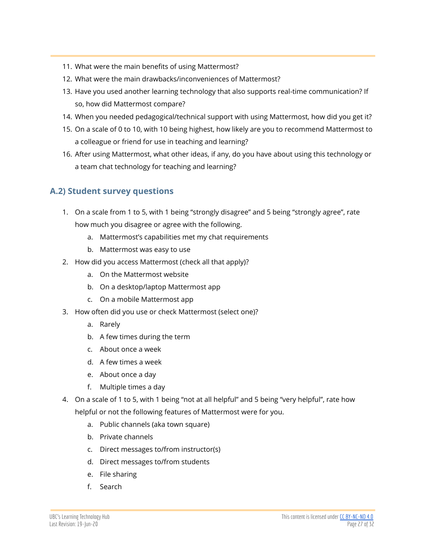- 11. What were the main benefits of using Mattermost?
- 12. What were the main drawbacks/inconveniences of Mattermost?
- 13. Have you used another learning technology that also supports real-time communication? If so, how did Mattermost compare?
- 14. When you needed pedagogical/technical support with using Mattermost, how did you get it?
- 15. On a scale of 0 to 10, with 10 being highest, how likely are you to recommend Mattermost to a colleague or friend for use in teaching and learning?
- 16. After using Mattermost, what other ideas, if any, do you have about using this technology or a team chat technology for teaching and learning?

#### <span id="page-26-0"></span>**A.2) Student survey questions**

- 1. On a scale from 1 to 5, with 1 being "strongly disagree" and 5 being "strongly agree", rate how much you disagree or agree with the following.
	- a. Mattermost's capabilities met my chat requirements
	- b. Mattermost was easy to use
- 2. How did you access Mattermost (check all that apply)?
	- a. On the Mattermost website
	- b. On a desktop/laptop Mattermost app
	- c. On a mobile Mattermost app
- 3. How often did you use or check Mattermost (select one)?
	- a. Rarely
	- b. A few times during the term
	- c. About once a week
	- d. A few times a week
	- e. About once a day
	- f. Multiple times a day
- 4. On a scale of 1 to 5, with 1 being "not at all helpful" and 5 being "very helpful", rate how

helpful or not the following features of Mattermost were for you.

- a. Public channels (aka town square)
- b. Private channels
- c. Direct messages to/from instructor(s)
- d. Direct messages to/from students
- e. File sharing
- f. Search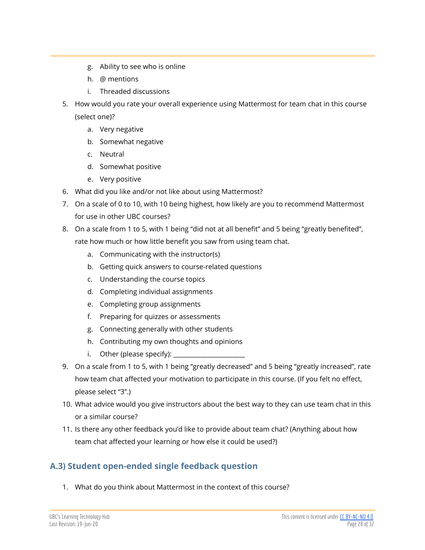- g. Ability to see who is online
- h. @ mentions
- i. Threaded discussions
- 5. How would you rate your overall experience using Mattermost for team chat in this course (select one)?
	- a. Very negative
	- b. Somewhat negative
	- c. Neutral
	- d. Somewhat positive
	- e. Very positive
- 6. What did you like and/or not like about using Mattermost?
- 7. On a scale of 0 to 10, with 10 being highest, how likely are you to recommend Mattermost for use in other UBC courses?
- 8. On a scale from 1 to 5, with 1 being "did not at all benefit" and 5 being "greatly benefited", rate how much or how little benefit you saw from using team chat.
	- a. Communicating with the instructor(s)
	- b. Getting quick answers to course-related questions
	- c. Understanding the course topics
	- d. Completing individual assignments
	- e. Completing group assignments
	- f. Preparing for quizzes or assessments
	- g. Connecting generally with other students
	- h. Contributing my own thoughts and opinions
	- i. Other (please specify):  $\Box$
- 9. On a scale from 1 to 5, with 1 being "greatly decreased" and 5 being "greatly increased", rate how team chat affected your motivation to participate in this course. (If you felt no effect, please select "3".)
- 10. What advice would you give instructors about the best way to they can use team chat in this or a similar course?
- 11. Is there any other feedback you'd like to provide about team chat? (Anything about how team chat affected your learning or how else it could be used?)

# <span id="page-27-0"></span>**A.3) Student open-ended single feedback question**

1. What do you think about Mattermost in the context of this course?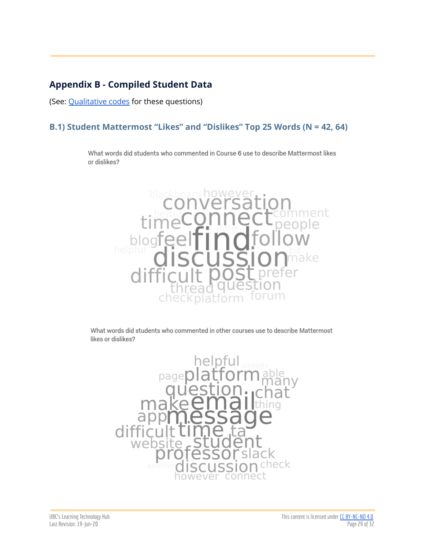# <span id="page-28-0"></span>**Appendix B - Compiled Student Data**

(See: [Qualitative](https://docs.google.com/document/d/1k4cGrpUXpTvTIEDFaKlWYDADzChzGyx35G2Czu7M1to/edit) codes for these questions)

#### **B.1) Student Mattermost "Likes" and "Dislikes" Top 25 Words (N = 42, 64)**

What words did students who commented in Course 6 use to describe Mattermost likes or dislikes?



What words did students who commented in other courses use to describe Mattermost likes or dislikes?

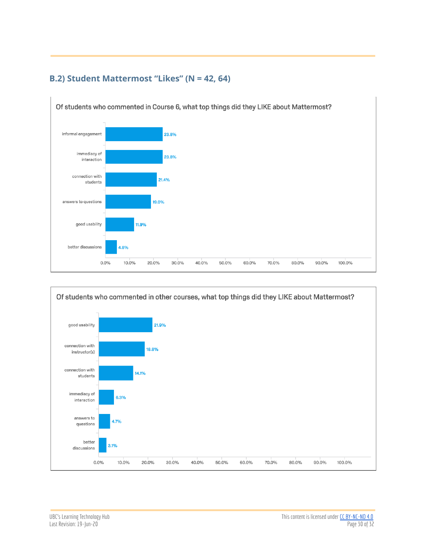

#### <span id="page-29-0"></span>**B.2) Student Mattermost "Likes" (N = 42, 64)**

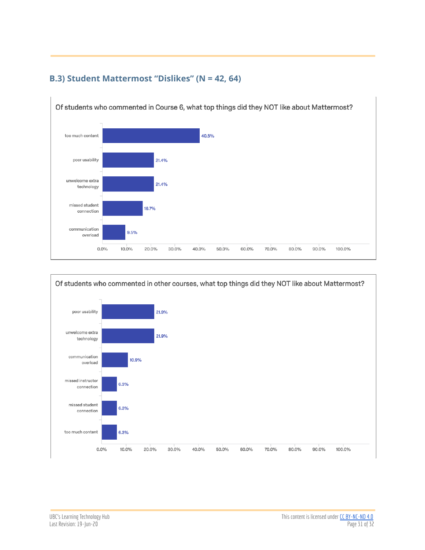

#### <span id="page-30-0"></span>**B.3) Student Mattermost "Dislikes" (N = 42, 64)**